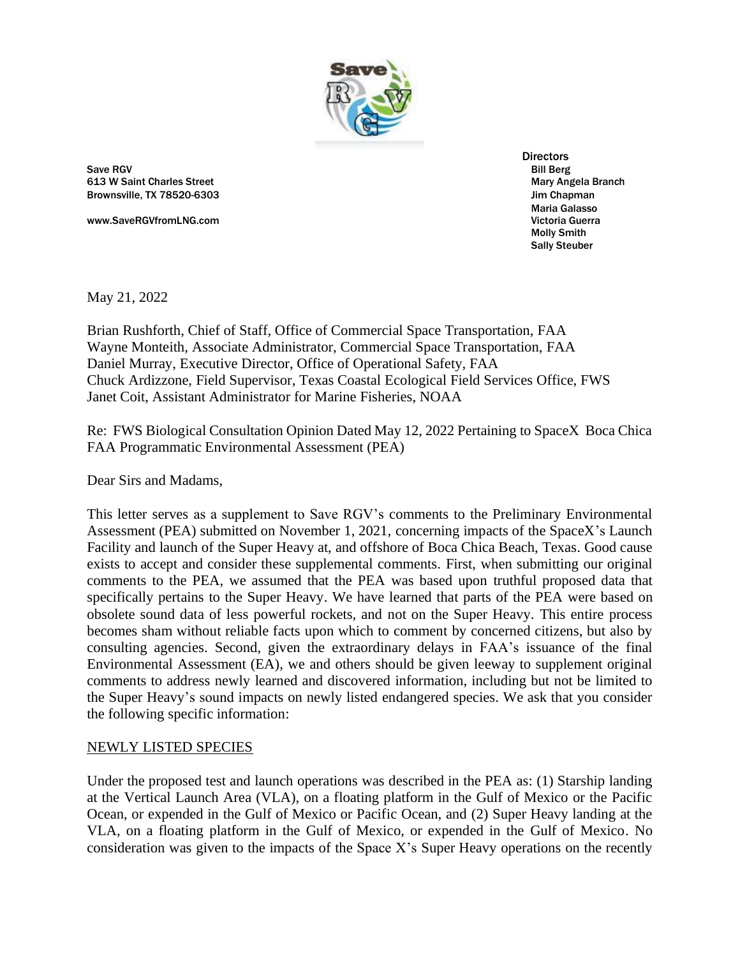

Save RGV Bill Berg 613 W Saint Charles Street Mary Angela Branch Mary Angela Branch Mary Angela Branch Brownsville, TX 78520-6303 **Discretion and Struck and Struck and Struck** and Struck and Struck and Struck and Struck and Struck and Struck and Struck and Struck and Struck and Struck and Struck and Struck and Struck and St

www.SaveRGVfromLNG.com **Victoria Guerra** Victoria Guerra Current Victoria Guerra Current Victoria Guerra

**Directors** Maria Galasso Molly Smith Sally Steuber

May 21, 2022

Brian Rushforth, Chief of Staff, Office of Commercial Space Transportation, FAA Wayne Monteith, Associate Administrator, Commercial Space Transportation, FAA Daniel Murray, Executive Director, Office of Operational Safety, FAA Chuck Ardizzone, Field Supervisor, Texas Coastal Ecological Field Services Office, FWS Janet Coit, Assistant Administrator for Marine Fisheries, NOAA

Re: FWS Biological Consultation Opinion Dated May 12, 2022 Pertaining to SpaceX Boca Chica FAA Programmatic Environmental Assessment (PEA)

Dear Sirs and Madams,

This letter serves as a supplement to Save RGV's comments to the Preliminary Environmental Assessment (PEA) submitted on November 1, 2021, concerning impacts of the SpaceX's Launch Facility and launch of the Super Heavy at, and offshore of Boca Chica Beach, Texas. Good cause exists to accept and consider these supplemental comments. First, when submitting our original comments to the PEA, we assumed that the PEA was based upon truthful proposed data that specifically pertains to the Super Heavy. We have learned that parts of the PEA were based on obsolete sound data of less powerful rockets, and not on the Super Heavy. This entire process becomes sham without reliable facts upon which to comment by concerned citizens, but also by consulting agencies. Second, given the extraordinary delays in FAA's issuance of the final Environmental Assessment (EA), we and others should be given leeway to supplement original comments to address newly learned and discovered information, including but not be limited to the Super Heavy's sound impacts on newly listed endangered species. We ask that you consider the following specific information:

## NEWLY LISTED SPECIES

Under the proposed test and launch operations was described in the PEA as: (1) Starship landing at the Vertical Launch Area (VLA), on a floating platform in the Gulf of Mexico or the Pacific Ocean, or expended in the Gulf of Mexico or Pacific Ocean, and (2) Super Heavy landing at the VLA, on a floating platform in the Gulf of Mexico, or expended in the Gulf of Mexico. No consideration was given to the impacts of the Space X's Super Heavy operations on the recently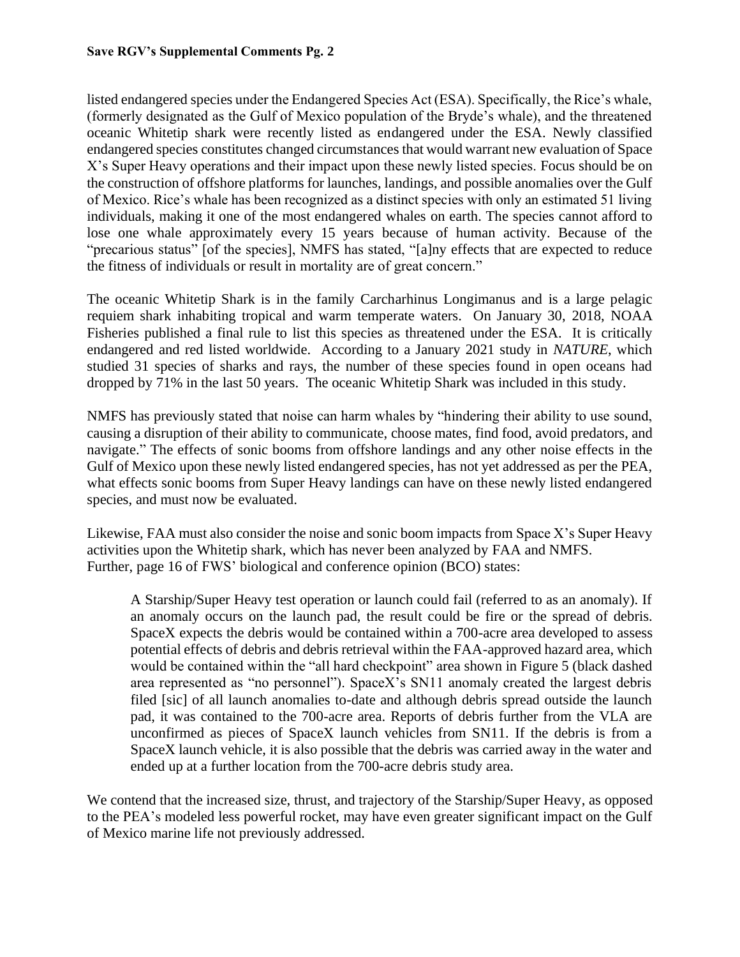## **Save RGV's Supplemental Comments Pg. 2**

listed endangered species under the Endangered Species Act (ESA). Specifically, the Rice's whale, (formerly designated as the Gulf of Mexico population of the Bryde's whale), and the threatened oceanic Whitetip shark were recently listed as endangered under the ESA. Newly classified endangered species constitutes changed circumstances that would warrant new evaluation of Space X's Super Heavy operations and their impact upon these newly listed species. Focus should be on the construction of offshore platforms for launches, landings, and possible anomalies over the Gulf of Mexico. Rice's whale has been recognized as a distinct species with only an estimated 51 living individuals, making it one of the most endangered whales on earth. The species cannot afford to lose one whale approximately every 15 years because of human activity. Because of the "precarious status" [of the species], NMFS has stated, "[a]ny effects that are expected to reduce the fitness of individuals or result in mortality are of great concern."

The oceanic Whitetip Shark is in the family Carcharhinus Longimanus and is a large pelagic requiem shark inhabiting tropical and warm temperate waters. On January 30, 2018, NOAA Fisheries published a final rule to list this species as threatened under the ESA. It is critically endangered and red listed worldwide. According to a January 2021 study in *NATURE*, which studied 31 species of sharks and rays, the number of these species found in open oceans had dropped by 71% in the last 50 years. The oceanic Whitetip Shark was included in this study.

NMFS has previously stated that noise can harm whales by "hindering their ability to use sound, causing a disruption of their ability to communicate, choose mates, find food, avoid predators, and navigate." The effects of sonic booms from offshore landings and any other noise effects in the Gulf of Mexico upon these newly listed endangered species, has not yet addressed as per the PEA, what effects sonic booms from Super Heavy landings can have on these newly listed endangered species, and must now be evaluated.

Likewise, FAA must also consider the noise and sonic boom impacts from Space X's Super Heavy activities upon the Whitetip shark, which has never been analyzed by FAA and NMFS. Further, page 16 of FWS' biological and conference opinion (BCO) states:

A Starship/Super Heavy test operation or launch could fail (referred to as an anomaly). If an anomaly occurs on the launch pad, the result could be fire or the spread of debris. SpaceX expects the debris would be contained within a 700-acre area developed to assess potential effects of debris and debris retrieval within the FAA-approved hazard area, which would be contained within the "all hard checkpoint" area shown in Figure 5 (black dashed area represented as "no personnel"). SpaceX's SN11 anomaly created the largest debris filed [sic] of all launch anomalies to-date and although debris spread outside the launch pad, it was contained to the 700-acre area. Reports of debris further from the VLA are unconfirmed as pieces of SpaceX launch vehicles from SN11. If the debris is from a SpaceX launch vehicle, it is also possible that the debris was carried away in the water and ended up at a further location from the 700-acre debris study area.

We contend that the increased size, thrust, and trajectory of the Starship/Super Heavy, as opposed to the PEA's modeled less powerful rocket, may have even greater significant impact on the Gulf of Mexico marine life not previously addressed.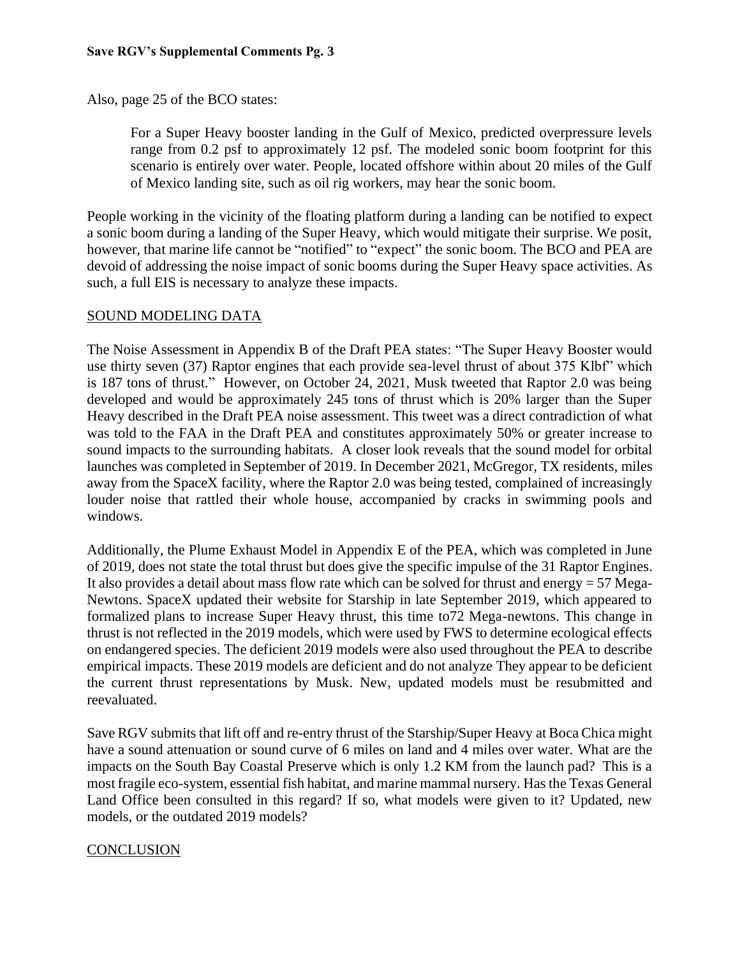Also, page 25 of the BCO states:

For a Super Heavy booster landing in the Gulf of Mexico, predicted overpressure levels range from 0.2 psf to approximately 12 psf. The modeled sonic boom footprint for this scenario is entirely over water. People, located offshore within about 20 miles of the Gulf of Mexico landing site, such as oil rig workers, may hear the sonic boom.

People working in the vicinity of the floating platform during a landing can be notified to expect a sonic boom during a landing of the Super Heavy, which would mitigate their surprise. We posit, however, that marine life cannot be "notified" to "expect" the sonic boom. The BCO and PEA are devoid of addressing the noise impact of sonic booms during the Super Heavy space activities. As such, a full EIS is necessary to analyze these impacts.

## SOUND MODELING DATA

The Noise Assessment in Appendix B of the Draft PEA states: "The Super Heavy Booster would use thirty seven (37) Raptor engines that each provide sea-level thrust of about 375 Klbf" which is 187 tons of thrust." However, on October 24, 2021, Musk tweeted that Raptor 2.0 was being developed and would be approximately 245 tons of thrust which is 20% larger than the Super Heavy described in the Draft PEA noise assessment. This tweet was a direct contradiction of what was told to the FAA in the Draft PEA and constitutes approximately 50% or greater increase to sound impacts to the surrounding habitats. A closer look reveals that the sound model for orbital launches was completed in September of 2019. In December 2021, McGregor, TX residents, miles away from the SpaceX facility, where the Raptor 2.0 was being tested, complained of increasingly louder noise that rattled their whole house, accompanied by cracks in swimming pools and windows.

Additionally, the Plume Exhaust Model in Appendix E of the PEA, which was completed in June of 2019, does not state the total thrust but does give the specific impulse of the 31 Raptor Engines. It also provides a detail about mass flow rate which can be solved for thrust and energy = 57 Mega-Newtons. SpaceX updated their website for Starship in late September 2019, which appeared to formalized plans to increase Super Heavy thrust, this time to72 Mega-newtons. This change in thrust is not reflected in the 2019 models, which were used by FWS to determine ecological effects on endangered species. The deficient 2019 models were also used throughout the PEA to describe empirical impacts. These 2019 models are deficient and do not analyze They appear to be deficient the current thrust representations by Musk. New, updated models must be resubmitted and reevaluated.

Save RGV submits that lift off and re-entry thrust of the Starship/Super Heavy at Boca Chica might have a sound attenuation or sound curve of 6 miles on land and 4 miles over water. What are the impacts on the South Bay Coastal Preserve which is only 1.2 KM from the launch pad? This is a most fragile eco-system, essential fish habitat, and marine mammal nursery. Has the Texas General Land Office been consulted in this regard? If so, what models were given to it? Updated, new models, or the outdated 2019 models?

## **CONCLUSION**